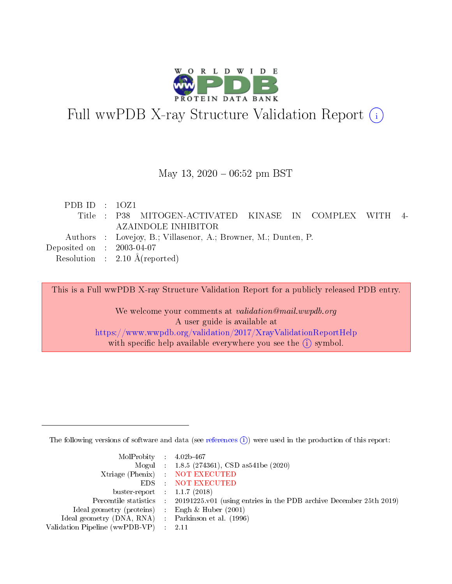

# Full wwPDB X-ray Structure Validation Report (i)

#### May 13,  $2020 - 06:52$  pm BST

| PDB ID : $10Z1$                      |                                                                |
|--------------------------------------|----------------------------------------------------------------|
|                                      | Title : P38 MITOGEN-ACTIVATED KINASE IN COMPLEX WITH 4-        |
|                                      | AZAINDOLE INHIBITOR                                            |
|                                      | Authors : Lovejoy, B.; Villasenor, A.; Browner, M.; Dunten, P. |
| Deposited on $\therefore$ 2003-04-07 |                                                                |
|                                      | Resolution : $2.10 \text{ Å}$ (reported)                       |
|                                      |                                                                |

This is a Full wwPDB X-ray Structure Validation Report for a publicly released PDB entry.

We welcome your comments at validation@mail.wwpdb.org A user guide is available at <https://www.wwpdb.org/validation/2017/XrayValidationReportHelp> with specific help available everywhere you see the  $(i)$  symbol.

The following versions of software and data (see [references](https://www.wwpdb.org/validation/2017/XrayValidationReportHelp#references)  $(i)$ ) were used in the production of this report:

| MolProbity : $4.02b-467$                            |                                                                                            |
|-----------------------------------------------------|--------------------------------------------------------------------------------------------|
|                                                     | Mogul : 1.8.5 (274361), CSD as541be (2020)                                                 |
|                                                     | Xtriage (Phenix) NOT EXECUTED                                                              |
|                                                     | EDS : NOT EXECUTED                                                                         |
| buster-report : $1.1.7(2018)$                       |                                                                                            |
|                                                     | Percentile statistics : 20191225.v01 (using entries in the PDB archive December 25th 2019) |
| Ideal geometry (proteins) : Engh $\&$ Huber (2001)  |                                                                                            |
| Ideal geometry (DNA, RNA) : Parkinson et al. (1996) |                                                                                            |
| Validation Pipeline (wwPDB-VP) :                    | - 2.11                                                                                     |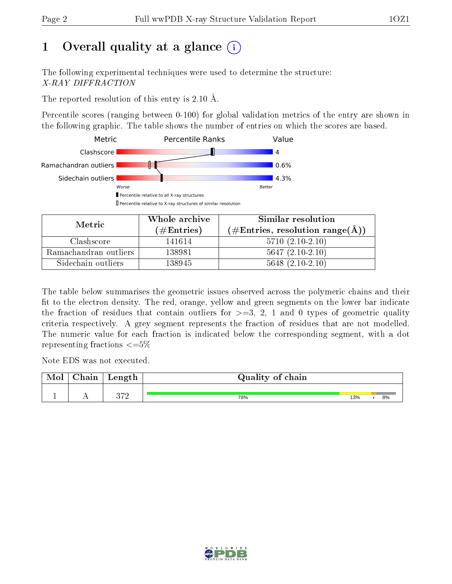# 1 [O](https://www.wwpdb.org/validation/2017/XrayValidationReportHelp#overall_quality)verall quality at a glance  $(i)$

The following experimental techniques were used to determine the structure: X-RAY DIFFRACTION

The reported resolution of this entry is 2.10 Å.

Percentile scores (ranging between 0-100) for global validation metrics of the entry are shown in the following graphic. The table shows the number of entries on which the scores are based.



| Metric                | Whole archive<br>$(\#\text{Entries})$ | Similar resolution<br>$(\#\text{Entries}, \text{resolution range}(\text{\AA})\)$ |
|-----------------------|---------------------------------------|----------------------------------------------------------------------------------|
| Clashscore            | 141614                                | $5710(2.10-2.10)$                                                                |
| Ramachandran outliers | 138981                                | $5647(2.10-2.10)$                                                                |
| Sidechain outliers    | 138945                                | $5648$ $(2.10-2.10)$                                                             |

The table below summarises the geometric issues observed across the polymeric chains and their fit to the electron density. The red, orange, yellow and green segments on the lower bar indicate the fraction of residues that contain outliers for  $\geq=3$ , 2, 1 and 0 types of geometric quality criteria respectively. A grey segment represents the fraction of residues that are not modelled. The numeric value for each fraction is indicated below the corresponding segment, with a dot representing fractions  $\leq=5\%$ 

Note EDS was not executed.

| Mol | $\cap$ hain | $\alpha$ $\alpha$ + $\alpha$<br>reugen | Quality of chain |     |    |
|-----|-------------|----------------------------------------|------------------|-----|----|
|     |             | ດ⇔ດ                                    |                  |     | 8% |
|     |             |                                        | 78%              | 13% |    |

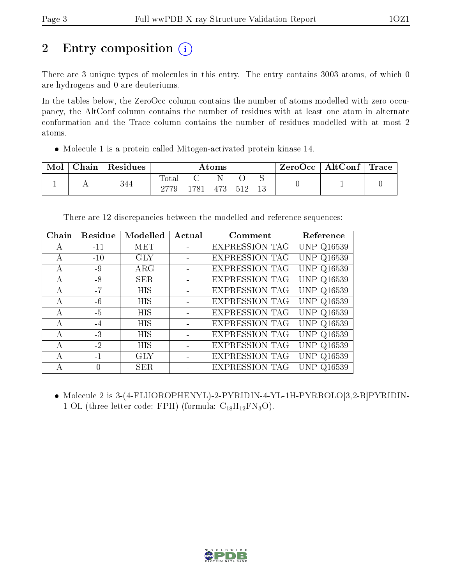# 2 Entry composition (i)

There are 3 unique types of molecules in this entry. The entry contains 3003 atoms, of which 0 are hydrogens and 0 are deuteriums.

In the tables below, the ZeroOcc column contains the number of atoms modelled with zero occupancy, the AltConf column contains the number of residues with at least one atom in alternate conformation and the Trace column contains the number of residues modelled with at most 2 atoms.

Molecule 1 is a protein called Mitogen-activated protein kinase 14.

| Mol | $\perp$ Chain $\perp$ | Residues |             |      | $\rm{Atoms}$ |      | $ZeroOcc \   \ AltConf \  $ | $\mid$ Trace $\mid$ |
|-----|-----------------------|----------|-------------|------|--------------|------|-----------------------------|---------------------|
|     |                       | 344      | $\rm Total$ | 1781 | 473          | -512 |                             |                     |

There are 12 discrepancies between the modelled and reference sequences:

| Chain | Residue | Modelled   | Actual | Comment               | Reference         |
|-------|---------|------------|--------|-----------------------|-------------------|
| A     | $-11$   | MET        |        | <b>EXPRESSION TAG</b> | <b>UNP Q16539</b> |
| А     | $-10$   | <b>GLY</b> |        | <b>EXPRESSION TAG</b> | <b>UNP Q16539</b> |
| А     | $-9$    | $\rm{ARG}$ |        | <b>EXPRESSION TAG</b> | <b>UNP Q16539</b> |
| A     | $-8$    | <b>SER</b> |        | <b>EXPRESSION TAG</b> | <b>UNP Q16539</b> |
| А     | $-7$    | <b>HIS</b> |        | <b>EXPRESSION TAG</b> | <b>UNP Q16539</b> |
| А     | $-6$    | <b>HIS</b> |        | <b>EXPRESSION TAG</b> | <b>UNP Q16539</b> |
| А     | $-5$    | <b>HIS</b> |        | <b>EXPRESSION TAG</b> | <b>UNP Q16539</b> |
| А     | $-4$    | <b>HIS</b> |        | <b>EXPRESSION TAG</b> | <b>UNP Q16539</b> |
| А     | $-3$    | <b>HIS</b> |        | <b>EXPRESSION TAG</b> | <b>UNP Q16539</b> |
| А     | $-2$    | <b>HIS</b> |        | <b>EXPRESSION TAG</b> | <b>UNP Q16539</b> |
| А     | $-1$    | <b>GLY</b> |        | <b>EXPRESSION TAG</b> | <b>UNP Q16539</b> |
|       | 0       | SER.       |        | <b>EXPRESSION TAG</b> | <b>UNP Q16539</b> |

 Molecule 2 is 3-(4-FLUOROPHENYL)-2-PYRIDIN-4-YL-1H-PYRROLO[3,2-B]PYRIDIN-1-OL (three-letter code: FPH) (formula:  $C_{18}H_{12}FN_3O$ ).

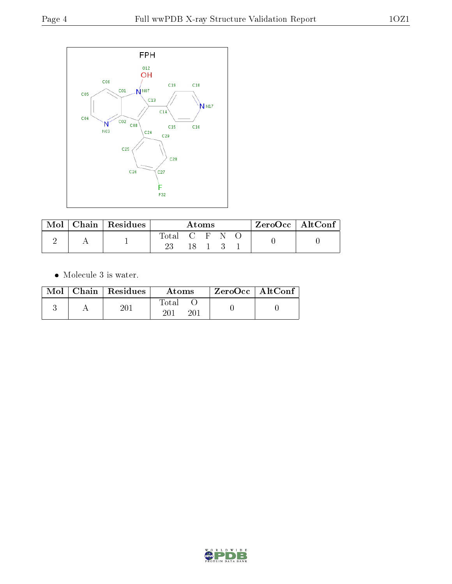

| Mol | Chain   $\overline{\text{Residues}}$ | Atoms         |      |  |  | $ZeroOcc \mid AltConf \mid$ |  |
|-----|--------------------------------------|---------------|------|--|--|-----------------------------|--|
|     |                                      | Total C F N O | 18 1 |  |  |                             |  |

 $\bullet\,$  Molecule 3 is water.

|  | Mol   Chain   Residues | Atoms        | ZeroOcc   AltConf |
|--|------------------------|--------------|-------------------|
|  | $20\,\mathrm{J}$       | Total<br>201 |                   |

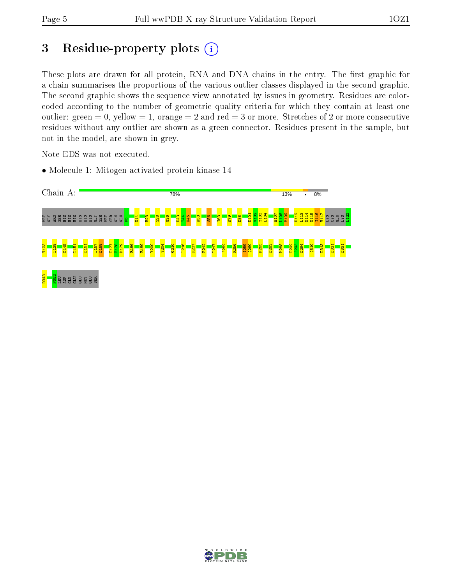# 3 Residue-property plots  $(i)$

These plots are drawn for all protein, RNA and DNA chains in the entry. The first graphic for a chain summarises the proportions of the various outlier classes displayed in the second graphic. The second graphic shows the sequence view annotated by issues in geometry. Residues are colorcoded according to the number of geometric quality criteria for which they contain at least one outlier: green  $= 0$ , yellow  $= 1$ , orange  $= 2$  and red  $= 3$  or more. Stretches of 2 or more consecutive residues without any outlier are shown as a green connector. Residues present in the sample, but not in the model, are shown in grey.

Note EDS was not executed.

• Molecule 1: Mitogen-activated protein kinase 14



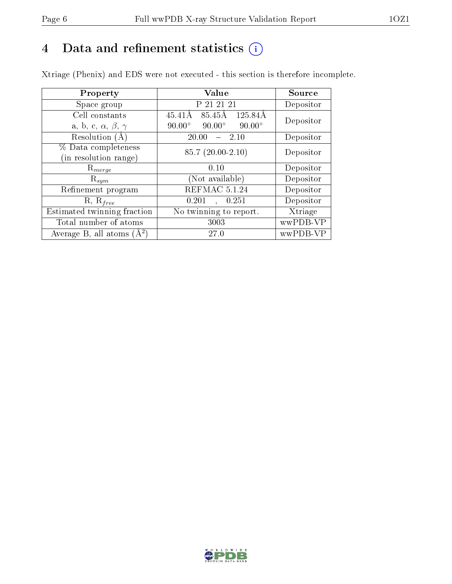# 4 Data and refinement statistics  $(i)$

Xtriage (Phenix) and EDS were not executed - this section is therefore incomplete.

| Property                               | Value                                           | Source    |  |
|----------------------------------------|-------------------------------------------------|-----------|--|
| Space group                            | P 21 21 21                                      | Depositor |  |
| Cell constants                         | 85.45Å<br>125.84Å<br>$45.41\text{\AA}$          | Depositor |  |
| a, b, c, $\alpha$ , $\beta$ , $\gamma$ | $90.00^\circ$<br>$90.00^\circ$<br>$90.00^\circ$ |           |  |
| Resolution (A)                         | 20.00<br>- 2.10                                 | Depositor |  |
| % Data completeness                    | $85.7(20.00-2.10)$                              | Depositor |  |
| (in resolution range)                  |                                                 |           |  |
| $R_{merge}$                            | 0.10                                            | Depositor |  |
| $\mathrm{R}_{sym}$                     | Not available)                                  | Depositor |  |
| Refinement program                     | REFMAC 5.1.24                                   | Depositor |  |
| $R, R_{free}$                          | 0.201<br>, 0.251                                | Depositor |  |
| Estimated twinning fraction            | No twinning to report.                          | Xtriage   |  |
| Total number of atoms                  | 3003                                            | wwPDB-VP  |  |
| Average B, all atoms $(A^2)$           | 27.0                                            | wwPDB-VP  |  |

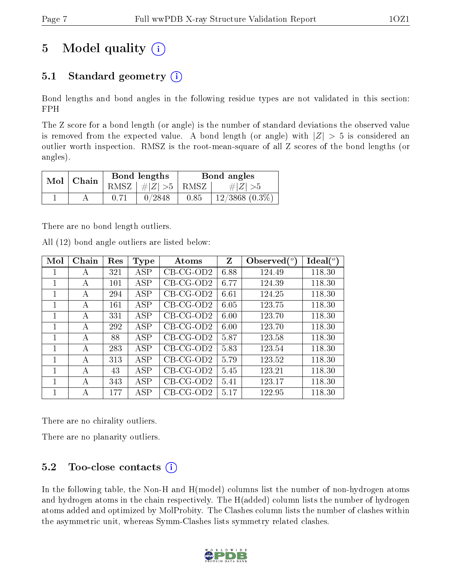# 5 Model quality  $(i)$

## 5.1 Standard geometry  $(i)$

Bond lengths and bond angles in the following residue types are not validated in this section: FPH

The Z score for a bond length (or angle) is the number of standard deviations the observed value is removed from the expected value. A bond length (or angle) with  $|Z| > 5$  is considered an outlier worth inspection. RMSZ is the root-mean-square of all Z scores of the bond lengths (or angles).

| Mol   Chain |  | Bond lengths         |      | Bond angles         |
|-------------|--|----------------------|------|---------------------|
|             |  | RMSZ $ #Z  > 5$ RMSZ |      | $\# Z  > 5$         |
|             |  | 0/2848               | 0.85 | $12/3868$ $(0.3\%)$ |

There are no bond length outliers.

|  |  | All (12) bond angle outliers are listed below: |  |  |
|--|--|------------------------------------------------|--|--|
|  |  |                                                |  |  |

| Mol | Chain | Res | Type       | Atoms        | Z    | Observed $(°)$ | Ideal(°) |
|-----|-------|-----|------------|--------------|------|----------------|----------|
| 1   | А     | 321 | <b>ASP</b> | $CB-CG-OD2$  | 6.88 | 124.49         | 118.30   |
| 1   | А     | 101 | <b>ASP</b> | $CB$ -CG-OD2 | 6.77 | 124.39         | 118.30   |
| 1   | A     | 294 | ASP        | $CB$ -CG-OD2 | 6.61 | 124.25         | 118.30   |
| 1   | A     | 161 | ASP        | $CB-CG-OD2$  | 6.05 | 123.75         | 118.30   |
| 1   | A     | 331 | ASP        | $CB-CG-OD2$  | 6.00 | 123.70         | 118.30   |
| 1   | А     | 292 | ASP        | CB-CG-OD2    | 6.00 | 123.70         | 118.30   |
| 1   | А     | 88  | ASP        | $CB-CG-OD2$  | 5.87 | 123.58         | 118.30   |
| 1   | А     | 283 | <b>ASP</b> | $CB$ -CG-OD2 | 5.83 | 123.54         | 118.30   |
| 1   | A     | 313 | ASP        | $CB$ -CG-OD2 | 5.79 | 123.52         | 118.30   |
| 1   | A     | 43  | ASP        | $CB-CG-OD2$  | 5.45 | 123.21         | 118.30   |
| 1   | A     | 343 | ASP        | $CB-CG-OD2$  | 5.41 | 123.17         | 118.30   |
| 1   | А     | 177 | ASP        | CB-CG-OD2    | 5.17 | 122.95         | 118.30   |

There are no chirality outliers.

There are no planarity outliers.

### 5.2 Too-close contacts  $(i)$

In the following table, the Non-H and H(model) columns list the number of non-hydrogen atoms and hydrogen atoms in the chain respectively. The H(added) column lists the number of hydrogen atoms added and optimized by MolProbity. The Clashes column lists the number of clashes within the asymmetric unit, whereas Symm-Clashes lists symmetry related clashes.

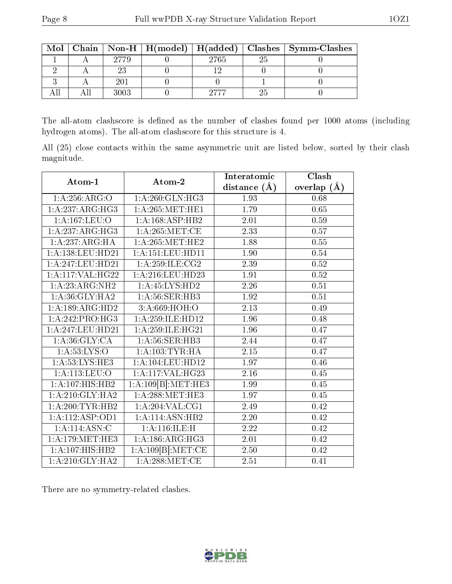| Mol |      |      | Chain   Non-H   H(model)   H(added)   Clashes   Symm-Clashes |
|-----|------|------|--------------------------------------------------------------|
|     | 2779 | 2765 |                                                              |
|     |      |      |                                                              |
|     | 201  |      |                                                              |
|     | 3003 |      |                                                              |

The all-atom clashscore is defined as the number of clashes found per 1000 atoms (including hydrogen atoms). The all-atom clashscore for this structure is 4.

All (25) close contacts within the same asymmetric unit are listed below, sorted by their clash magnitude.

| Atom-1                       | Atom-2               | Interatomic      | Clash             |
|------------------------------|----------------------|------------------|-------------------|
|                              |                      | distance $(\AA)$ | overlap $(A)$     |
| 1:A:256:ARG:O                | 1: A:260: GLN: HG3   | 1.93             | 0.68              |
| 1: A:237: ARG: HG3           | 1: A:265:MET:HE1     | 1.79             | 0.65              |
| $1:A:\overline{167:LEU:O}$   | 1:A:168:ASP:HB2      | 2.01             | 0.59              |
| 1:A:237:ARG:HG3              | 1: A:265: MET:CE     | 2.33             | 0.57              |
| 1:A:237:ARG:HA               | 1: A:265:MET:HE2     | 1.88             | $0.55\,$          |
| 1:A:138:LEU:HD21             | 1: A: 151: LEU: HD11 | 1.90             | $0.54\,$          |
| 1:A:247:LEU:HD21             | 1: A:259: ILE: CG2   | 2.39             | 0.52              |
| 1:A:117:VAL:HG22             | 1:A:216:LEU:HD23     | 1.91             | $0.52\,$          |
| 1:A:23:ARG:NH2               | 1:A:45:LYS:HD2       | $2.26\,$         | $0.51\,$          |
| 1: A:36: GLY: HA2            | 1: A:56: SER:HB3     | 1.92             | 0.51              |
| 1:A:189:ARG:HD2              | 3:A:669:HOH:O        | 2.13             | 0.49              |
| 1:A:242:PRO:HG3              | 1:A:259:ILE:HD12     | 1.96             | 0.48              |
| 1:A:247:LEU:HD21             | 1: A:259: ILE: HG21  | 1.96             | 0.47              |
| 1: A:36: GLY:CA              | 1: A: 56: SER: HB3   | 2.44             | $\overline{0.47}$ |
| 1: A:53: LYS:O               | 1: A: 103: TYR: HA   | $2.15\,$         | 0.47              |
| 1: A:53: LYS: HE3            | 1: A: 104: LEU: HD12 | 1.97             | 0.46              |
| 1:A:113:LEU:O                | 1:A:117:VAL:HG23     | 2.16             | 0.45              |
| 1:A:107:HIS:HB2              | 1:A:109[B]:MET:HE3   | 1.99             | 0.45              |
| $1:A:210:GLY:H\overline{A2}$ | 1: A:288:MET:HE3     | 1.97             | 0.45              |
| 1: A:200:TYR:HB2             | 1: A:204:VAL:CG1     | 2.49             | 0.42              |
| 1: A: 112: ASP: OD1          | 1:A:114:ASN:HB2      | $2.20\,$         | 0.42              |
| 1:A:114:ASN:C                | 1: A:116: ILE:H      | 2.22             | 0.42              |
| 1:A:179:MET:HE3              | 1:A:186:ARG:HG3      | 2.01             | 0.42              |
| 1:A:107:HIS:HB2              | 1:A:109[B]:MET:CE    | 2.50             | 0.42              |
| 1: A:210: GLY:HA2            | 1: A:288: MET:CE     | 2.51             | 0.41              |

There are no symmetry-related clashes.

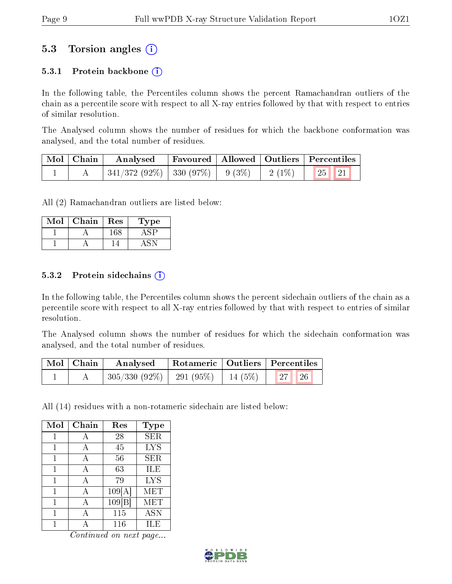### 5.3 Torsion angles (i)

#### 5.3.1 Protein backbone  $(i)$

In the following table, the Percentiles column shows the percent Ramachandran outliers of the chain as a percentile score with respect to all X-ray entries followed by that with respect to entries of similar resolution.

The Analysed column shows the number of residues for which the backbone conformation was analysed, and the total number of residues.

| Mol   Chain | Analysed                           |  |                                    |                                                          | $\mid$ Favoured $\mid$ Allowed $\mid$ Outliers $\mid$ Percentiles |  |
|-------------|------------------------------------|--|------------------------------------|----------------------------------------------------------|-------------------------------------------------------------------|--|
|             | $341/372(92\%)$ 330 (97\%) 9 (3\%) |  | $\frac{1}{2}$ (1%) $\frac{1}{2}$ . | $\begin{array}{ c c c c }\n\hline\n1&25&21\n\end{array}$ |                                                                   |  |

All (2) Ramachandran outliers are listed below:

| Mol | Chain | Res | ype |
|-----|-------|-----|-----|
|     |       | -68 |     |
|     |       |     |     |

#### 5.3.2 Protein sidechains  $(i)$

In the following table, the Percentiles column shows the percent sidechain outliers of the chain as a percentile score with respect to all X-ray entries followed by that with respect to entries of similar resolution.

The Analysed column shows the number of residues for which the sidechain conformation was analysed, and the total number of residues.

| Mol   Chain | $\boldsymbol{\mathrm{Analysed}}$         | Rotameric   Outliers   Percentiles |           |  |
|-------------|------------------------------------------|------------------------------------|-----------|--|
|             | $305/330$ (92\%)   291 (95\%)   14 (5\%) |                                    | 27 <br>26 |  |

All (14) residues with a non-rotameric sidechain are listed below:

| Mol | Chain | Res    | <b>Type</b> |
|-----|-------|--------|-------------|
| 1   | А     | 28     | <b>SER</b>  |
| 1   | А     | 45     | <b>LYS</b>  |
| 1   | А     | 56     | SER         |
| 1   | А     | 63     | ILE         |
| 1   | А     | 79     | <b>LYS</b>  |
| 1   | А     | 109[A] | MET         |
| 1   | А     | 109 B  | MET         |
|     |       | 115    | ASN         |
|     |       | 116    | IL E        |

Continued on next page...

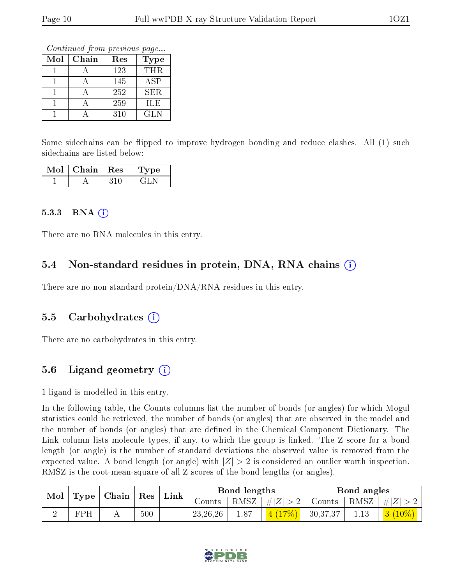Continued from previous page...

| Mol | Chain | Res | <b>Type</b> |
|-----|-------|-----|-------------|
|     |       | 123 | <b>THR</b>  |
|     |       | 145 | <b>ASP</b>  |
|     |       | 252 | <b>SER</b>  |
|     |       | 259 | ILE         |
|     |       | 310 | <b>GLN</b>  |

Some sidechains can be flipped to improve hydrogen bonding and reduce clashes. All (1) such sidechains are listed below:

| Mol | Chain | $_{\rm 1}$ Res | Type |  |
|-----|-------|----------------|------|--|
|     |       |                |      |  |

#### $5.3.3$  RNA  $(i)$

There are no RNA molecules in this entry.

#### 5.4 Non-standard residues in protein, DNA, RNA chains (i)

There are no non-standard protein/DNA/RNA residues in this entry.

#### 5.5 Carbohydrates (i)

There are no carbohydrates in this entry.

#### 5.6 Ligand geometry  $(i)$

1 ligand is modelled in this entry.

In the following table, the Counts columns list the number of bonds (or angles) for which Mogul statistics could be retrieved, the number of bonds (or angles) that are observed in the model and the number of bonds (or angles) that are defined in the Chemical Component Dictionary. The Link column lists molecule types, if any, to which the group is linked. The Z score for a bond length (or angle) is the number of standard deviations the observed value is removed from the expected value. A bond length (or angle) with  $|Z| > 2$  is considered an outlier worth inspection. RMSZ is the root-mean-square of all Z scores of the bond lengths (or angles).

| Mol<br>$\vert$ Type   Chain   Res |     |     | $^{\circ}$ Link | Bond lengths |      |         | Bond angles                  |  |  |
|-----------------------------------|-----|-----|-----------------|--------------|------|---------|------------------------------|--|--|
|                                   |     |     |                 | Counts       | RMSZ | #Z  > 2 | Counts   RMSZ $\vert \#  Z $ |  |  |
|                                   | FPH | 500 |                 | 23, 26, 26   | 1.87 | 4(17%)  | 30,37,37                     |  |  |

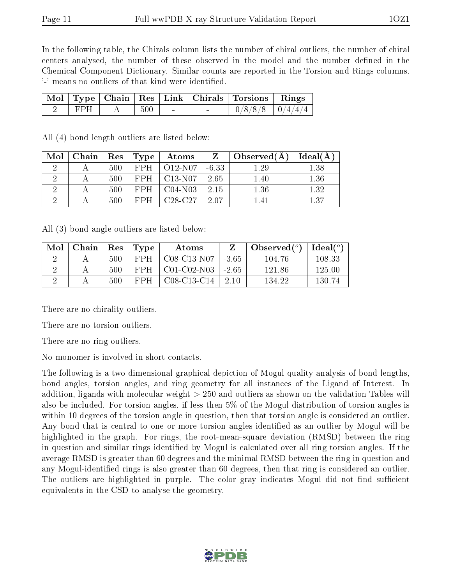In the following table, the Chirals column lists the number of chiral outliers, the number of chiral centers analysed, the number of these observed in the model and the number defined in the Chemical Component Dictionary. Similar counts are reported in the Torsion and Rings columns. '-' means no outliers of that kind were identified.

|  |         |        | Mol   Type   Chain   Res   Link   Chirals   Torsions   Rings |  |
|--|---------|--------|--------------------------------------------------------------|--|
|  | $500\,$ | $\sim$ | $0/8/8/8$   $0/4/4/4$                                        |  |

| Mol                  | Chain | Res | Type       | Atoms     | Z       | Observed $(A)$ | Ideal(A) |
|----------------------|-------|-----|------------|-----------|---------|----------------|----------|
| $\ddot{\phantom{0}}$ |       | 500 | FPH        | $O12-N07$ | $-6.33$ | $1.29\,$       | $1.38\,$ |
|                      |       | 500 | <b>FPH</b> | $C13-N07$ | 2.65    | 1.40           | 1.36     |
| ٠,                   |       | 500 | FPH        | $C04-N03$ | 2.15    | 1.36           | 1.32     |
|                      |       | 500 | FPH        | $C28-C27$ | 2.07    | 141            | 1.37     |

All (4) bond length outliers are listed below:

All (3) bond angle outliers are listed below:

| Mol | Chain | $\operatorname{Res}$ | Type       | Atoms         |       | Observed $(°)$ | $\text{Ideal}({}^o)$ |
|-----|-------|----------------------|------------|---------------|-------|----------------|----------------------|
|     |       | 500                  | <b>FPH</b> | $C08-C13-N07$ | -3.65 | 104.76         | 108.33               |
|     |       | 500                  | FPH.       | C01-C02-N03   | -2.65 | 121.86         | 125.00               |
|     |       | 500                  | <b>FPH</b> | $C08-C13-C14$ | 2.10  | 134.22         | 130 74               |

There are no chirality outliers.

There are no torsion outliers.

There are no ring outliers.

No monomer is involved in short contacts.

The following is a two-dimensional graphical depiction of Mogul quality analysis of bond lengths, bond angles, torsion angles, and ring geometry for all instances of the Ligand of Interest. In addition, ligands with molecular weight > 250 and outliers as shown on the validation Tables will also be included. For torsion angles, if less then 5% of the Mogul distribution of torsion angles is within 10 degrees of the torsion angle in question, then that torsion angle is considered an outlier. Any bond that is central to one or more torsion angles identified as an outlier by Mogul will be highlighted in the graph. For rings, the root-mean-square deviation (RMSD) between the ring in question and similar rings identified by Mogul is calculated over all ring torsion angles. If the average RMSD is greater than 60 degrees and the minimal RMSD between the ring in question and any Mogul-identified rings is also greater than 60 degrees, then that ring is considered an outlier. The outliers are highlighted in purple. The color gray indicates Mogul did not find sufficient equivalents in the CSD to analyse the geometry.

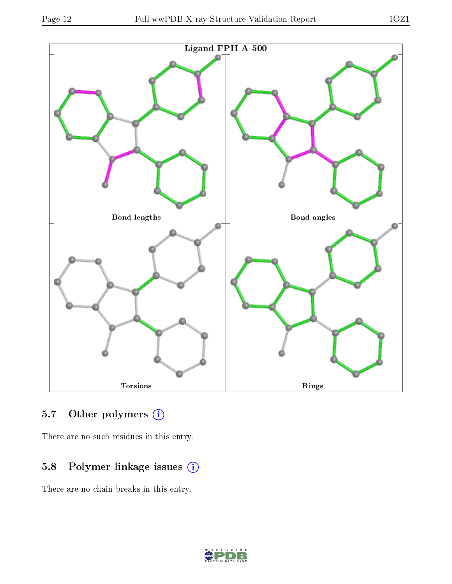

### 5.7 [O](https://www.wwpdb.org/validation/2017/XrayValidationReportHelp#nonstandard_residues_and_ligands)ther polymers (i)

There are no such residues in this entry.

### 5.8 Polymer linkage issues (i)

There are no chain breaks in this entry.